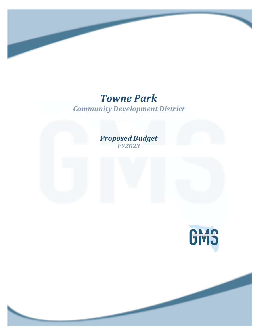# *Towne Park*

*Community Development District*

## *Proposed Budget FY2023*

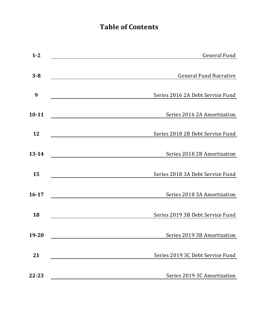## **Table of Contents**

| $1 - 2$   | <b>General Fund</b>              |
|-----------|----------------------------------|
| $3 - 8$   | <b>General Fund Narrative</b>    |
| 9         | Series 2016 2A Debt Service Fund |
| $10 - 11$ | Series 2016 2A Amortization      |
| 12        | Series 2018 2B Debt Service Fund |
| $13 - 14$ | Series 2018 2B Amortization      |
| 15        | Series 2018 3A Debt Service Fund |
| $16 - 17$ | Series 2018 3A Amortization      |
| 18        | Series 2019 3B Debt Service Fund |
| 19-20     | Series 2019 3B Amortization      |
| 21        | Series 2019 3C Debt Service Fund |
| 22-23     | Series 2019 3C Amortization      |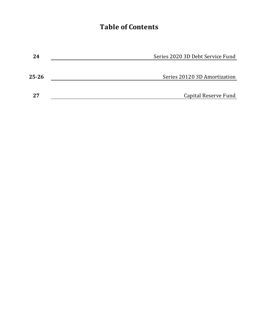## **Table of Contents**

| 24    | Series 2020 3D Debt Service Fund |
|-------|----------------------------------|
|       |                                  |
| 25-26 | Series 20120 3D Amortization     |
| 27    | Capital Reserve Fund             |
|       |                                  |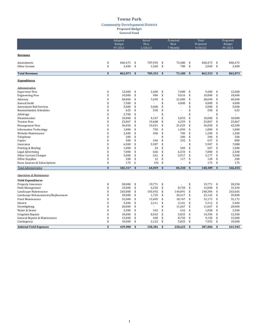### **Towne Park**

**Community Development District** 

**Proposed Budget**

**General Fund** 

|                                     | Adopted<br><b>Budget</b> | Actual<br>Thru    |      | Projected<br>Next | Total                | Proposed<br>Budget |
|-------------------------------------|--------------------------|-------------------|------|-------------------|----------------------|--------------------|
|                                     | FY 2022                  | $\frac{2}{28/21}$ |      | 7 Months          | Projected<br>9/30/22 | FY 2023            |
|                                     |                          |                   |      |                   |                      |                    |
| <b>Revenues</b>                     |                          |                   |      |                   |                      |                    |
| Assessments                         | \$<br>860,473            | \$<br>787,993     | \$   | 72.480            | \$<br>860,473        | \$<br>860,473      |
| Other Income                        | \$<br>2,400              | \$<br>1,360       | \$   | 700               | \$<br>2,060          | \$<br>2,400        |
| <b>Total Revenues</b>               | \$<br>862,873            | \$<br>789,353     | \$   | 73,180            | \$<br>862,533        | \$<br>862,873      |
| <b>Expenditures</b>                 |                          |                   |      |                   |                      |                    |
| Administrative:                     |                          |                   |      |                   |                      |                    |
| <b>Supervisor Fees</b>              | \$<br>12,000             | \$<br>2,400       | \$   | 7,000             | \$<br>9,400          | \$<br>12,000       |
| <b>Engineering Fees</b>             | \$<br>10,000             | \$<br>984         | \$   | 9,016             | \$<br>10,000         | \$<br>10,000       |
| Attorney                            | \$<br>50,000             | \$<br>7,690       | \$   | 21,000            | \$<br>28,690         | \$<br>40,000       |
| Annual Audit                        | \$<br>7,500              | \$                | \$   | 4,000             | \$<br>4,000          | \$<br>4,000        |
| Assessment Roll Services            | \$<br>5,000              | \$<br>5,000       | \$   |                   | \$<br>5,000          | \$<br>5,000        |
| <b>Reamortization Schedules</b>     | \$<br>625                | \$<br>550         | \$   |                   | \$<br>550            | \$<br>625          |
| Arbitrage                           | \$<br>2,700              | \$                | \$   |                   | \$                   | \$                 |
| Dissemination                       | \$<br>10,000             | \$<br>4,167       | \$   | 5,833             | \$<br>10,000         | \$<br>10,000       |
| <b>Trustee Fees</b>                 | \$<br>23,867             | \$<br>19,608      | \$   | 4,259             | \$<br>23,867         | \$<br>23,867       |
| <b>Management Fees</b>              | \$<br>36,050             | \$<br>15,021      | \$   | 21,029            | \$<br>36,050         | \$<br>42,500       |
| <b>Information Technology</b>       | \$<br>1,800              | \$<br>750         | \$   | 1,050             | \$<br>1,800          | \$<br>1,800        |
| Website Maintenance                 | \$<br>2.400              | \$<br>500         | $\,$ | 700               | \$<br>1.200          | \$<br>1,200        |
| Telephone                           | \$<br>200                | \$                | \$   | 200               | \$<br>200            | \$<br>200          |
| Copies                              | \$<br>500                | \$<br>346         | \$   | 292               | \$<br>637            | \$<br>800          |
| Insurance                           | \$<br>6,300              | \$<br>5,907       | \$   | $\overline{a}$    | \$<br>5.907          | \$<br>7.088        |
| Printing & Binding                  | \$<br>1,000              | \$<br>24          | \$   | 583               | \$<br>607            | \$<br>1,000        |
| Legal Advertising                   | \$<br>7,000              | \$<br>666         | \$   | 6,334             | \$<br>7,000          | \$<br>2,500        |
| Other Current Charges               | \$<br>5,000              | \$<br>261         | \$   | 2,917             | \$<br>3,177          | \$<br>3,500        |
| Office Supplies                     | \$<br>200                | \$<br>12          | \$   | 117               | \$<br>128            | \$<br>200          |
| Dues, Licenses & Subscriptions      | \$<br>175                | \$<br>175         | \$   |                   | \$<br>175            | \$<br>175          |
| <b>Total Administrative</b>         | \$<br>182,317            | \$<br>64,059      | \$   | 84,330            | \$<br>148,389        | \$<br>166,455      |
| <b>Operations &amp; Maintenance</b> |                          |                   |      |                   |                      |                    |
| <b>Field Expenditures</b>           |                          |                   |      |                   |                      |                    |
| Property Insurance                  | \$<br>30,000             | \$<br>19,771      | \$   |                   | \$<br>19,771         | \$<br>20,258       |
| Field Management                    | \$<br>15,000             | \$<br>6,250       | \$   | 8,750             | \$<br>15,000         | \$<br>15,450       |
| Landscape Maintenance               | \$<br>265,000            | \$<br>103,492     | \$   | 144,891           | \$<br>248,384        | \$<br>263,665      |
| Landscape Enhancements/Replacement  | \$<br>35,000             | \$<br>1,725       | \$   | 20,417            | \$<br>22,142         | \$<br>35,000       |
| Pond Maintenance                    | \$<br>32,000             | \$<br>13,405      | \$   | 18,767            | \$<br>32,172         | \$<br>32,172       |
| Electric                            | \$<br>5,400              | \$<br>2,211       | \$   | 3,101             | \$<br>5,312          | \$<br>5,400        |
| Streetlighting                      | \$<br>20,000             | \$<br>$\sim$      | \$   | 11,667            | \$<br>11,667         | \$<br>20,000       |
| Water & Sewer                       | \$<br>2,500              | \$<br>442         | \$   | 616               | \$<br>1,058          | \$<br>2,500        |
| <b>Irrigation Repairs</b>           | \$<br>10,000             | \$<br>8,563       | \$   | 5,833             | \$<br>14,396         | \$<br>12,500       |
| General Repairs & Maintenance       | \$<br>15,000             | \$<br>400         | \$   | 8,750             | \$<br>9,150          | \$<br>15,000       |
| Contingency                         | \$<br>10,000             | \$<br>2,122       | \$   | 5,833             | \$<br>7,955          | \$<br>10,000       |
| <b>Subtotal Field Expenses</b>      | \$<br>439,900            | \$<br>158,381     | \$   | 228,625           | \$<br>387,006        | \$<br>431,945      |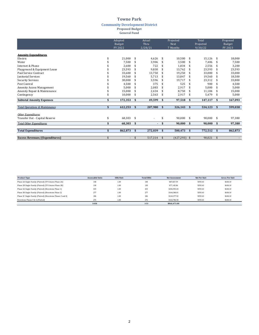**Community Development District** 

**Proposed Budget**

**General Fund** 

|                                           |    | Adopted<br>Budget<br>FY 2022 |    | Actual<br>Thru<br>2/28/21 |    | Projected<br>Next<br>7 Months | Total<br>Projected<br>9/30/22 |         |              | Proposed<br>Budget<br>FY 2023 |
|-------------------------------------------|----|------------------------------|----|---------------------------|----|-------------------------------|-------------------------------|---------|--------------|-------------------------------|
| <b>Amenity Expenditures</b>               |    |                              |    |                           |    |                               |                               |         |              |                               |
| Electric                                  | S  | 21,000                       | \$ | 4,626                     | \$ | 10,500                        | \$                            | 15,126  | \$           | 18,000                        |
| Water                                     |    | 7,500                        |    | 3,906                     |    | 3,500                         |                               | 7,406   |              | 7,500                         |
| Internet & Phone                          |    | 2,600                        |    | 722                       |    | 1,834                         | \$                            | 2,556   | \$.          | 3,200                         |
| Playground & Equipment Lease              |    | 23,593                       |    | 9,830                     |    | 13,762                        | \$                            | 23,593  | \$           | 23,593                        |
| Pool Service Contract                     |    | 33,600                       |    | 13,750                    |    | 19,250                        | \$                            | 33,000  |              | 33,000                        |
| <b>Janitorial Services</b>                |    | 19,560                       |    | 5,713                     |    | 13,847                        | \$                            | 19,560  | \$.          | 18,500                        |
| <b>Security Services</b>                  |    | 30,000                       |    | 3,596                     |    | 19,717                        | \$                            | 23,312  |              | 33,800                        |
| Pest Control                              |    | 4,500                        |    | 375                       |    | 525                           |                               | 900     |              | 4,500                         |
| Amenity Access Management                 |    | 5,000                        |    | 2.083                     |    | 2,917                         | \$                            | 5.000   |              | 5,000                         |
| Amenity Repair & Maintenance              |    | 15,000                       |    | 2,434                     |    | 8,750                         | \$                            | 11,184  | \$           | 15,000                        |
| Contingency                               |    | 10,000                       | \$ | 2,563                     | -S | 2,917                         | \$                            | 5,479   | \$           | 5,000                         |
| <b>Subtotal Amenity Expenses</b>          | \$ | 172,353                      | \$ | 49,599                    | \$ | 97,518                        | \$                            | 147,117 | \$           | 167,093                       |
| <b>Total Operations &amp; Maintenance</b> | \$ | 612,253                      | \$ | 207,980                   | \$ | 326,143                       | $\mathbf{s}$                  | 534,123 | $\mathbf{s}$ | 599,038                       |
| <b>Other Expenditures</b>                 |    |                              |    |                           |    |                               |                               |         |              |                               |
| Transfer Out - Capital Reserve            | \$ | 68,303                       | \$ |                           | \$ | 90,000                        | \$                            | 90,000  | \$           | 97,380                        |
| <b>Total Other Expenditures</b>           | \$ | 68,303                       | \$ | $\sim$                    | \$ | 90,000                        | \$                            | 90,000  | \$           | 97,380                        |
| <b>Total Expenditures</b>                 | \$ | 862,873                      | \$ | 272,039                   | \$ | 500,473                       | \$                            | 772,512 | $\mathbf{s}$ | 862,873                       |
| <b>Excess Revenues/(Expenditures)</b>     | \$ | $\sim$                       | \$ | 517,314                   | \$ | (427, 293)                    | \$                            | 90,021  | \$           |                               |

| <b>Product Type</b>                                          | <b>Assessable Units</b> | ERU/Unit | <b>Total ERUs</b> | <b>Net Assessment</b> | Net Per Unit | <b>Gross Per Unit</b> |
|--------------------------------------------------------------|-------------------------|----------|-------------------|-----------------------|--------------|-----------------------|
| Phase 2A Single-Family (Platted) (TP Estates Phase 2A)       | 148                     | 1.00     | 148               | \$87,827.59           | \$593.43     | \$638.10              |
| Phase 2B Single-Family (Platted) (TP Estates Phase 2B)       | 130                     | 1.00     | 130               | \$77,145.86           | \$593.43     | \$638.10              |
| Phase 3A Single-Family (Platted) (Riverstone Phase 1)        | 433                     | 1.00     | 433               | \$256,955.04          | \$593.43     | \$638.10              |
| Phase 3B Single-Family (Platted) (Riverstone Phase 2)        | 277                     | 1.00     | 277               | \$164,380.01          | \$593.43     | \$638.10              |
| Phase 3C Single-Family (Platted) (Riverstone Phases 3 and 4) | 186                     | 1.00     | 186               | \$110,377.92          | \$593.43     | \$638.10              |
| Riverstone Phases 5 & 6 (Platted)                            | 276                     | 1.00     | 276               | \$163,786,58          | \$593.43     | \$638.10              |
|                                                              | 1450                    |          | 1450              | \$860,473.00          |              |                       |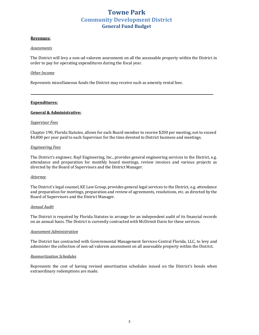#### **Revenues:**

#### *Assessments*

The District will levy a non-ad valorem assessment on all the assessable property within the District in order to pay for operating expenditures during the fiscal year.

#### *Other Income*

Represents miscellaneous funds the District may receive such as amenity rental fees.

#### **Expenditures:**

#### **General & Administrative:**

#### *Supervisor Fees*

Chapter 190, Florida Statutes, allows for each Board member to receive \$200 per meeting, not to exceed \$4,800 per year paid to each Supervisor for the time devoted to District business and meetings.

#### *Engineering Fees*

The District's engineer, Rayl Engineering, Inc., provides general engineering services to the District, e.g. attendance and preparation for monthly board meetings, review invoices and various projects as directed by the Board of Supervisors and the District Manager.

#### *Attorney*

The District's legal counsel, KE Law Group, provides general legal services to the District, e.g. attendance and preparation for meetings, preparation and review of agreements, resolutions, etc. as directed by the Board of Supervisors and the District Manager.

#### *Annual Audit*

The District is required by Florida Statutes to arrange for an independent audit of its financial records on an annual basis. The District is currently contracted with McDirmit Davis for these services.

#### *Assessment Administration*

The District has contracted with Governmental Management Services-Central Florida, LLC, to levy and administer the collection of non-ad valorem assessment on all assessable property within the District.

#### *Reamortization Schedules*

Represents the cost of having revised amortization schedules issued on the District's bonds when extraordinary redemptions are made.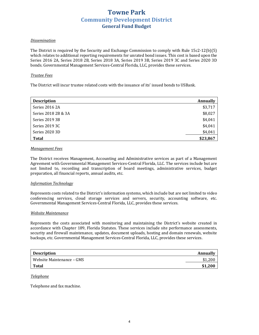#### *Dissemination*

The District is required by the Security and Exchange Commission to comply with Rule  $15c2-12(b)(5)$ which relates to additional reporting requirements for unrated bond issues. This cost is based upon the Series 2016 2A, Series 2018 2B, Series 2018 3A, Series 2019 3B, Series 2019 3C and Series 2020 3D bonds. Governmental Management Services-Central Florida, LLC, provides these services.

#### *Trustee Fees*

The District will incur trustee related costs with the issuance of its' issued bonds to USBank.

| <b>Description</b>  | <b>Annually</b> |
|---------------------|-----------------|
| Series 2016 2A      | \$3,717         |
| Series 2018 2B & 3A | \$8,027         |
| Series 2019 3B      | \$4,041         |
| Series 2019 3C      | \$4,041         |
| Series 2020 3D      | \$4,041         |
| <b>Total</b>        | \$23,867        |

#### *Management Fees*

The District receives Management, Accounting and Administrative services as part of a Management Agreement with Governmental Management Services-Central Florida, LLC. The services include but are not limited to, recording and transcription of board meetings, administrative services, budget preparation, all financial reports, annual audits, etc.

#### *Information Technology*

Represents costs related to the District's information systems, which include but are not limited to video conferencing services, cloud storage services and servers, security, accounting software, etc. Governmental Management Services-Central Florida, LLC, provides these services.

#### *Website Maintenance*

Represents the costs associated with monitoring and maintaining the District's website created in accordance with Chapter 189, Florida Statutes. These services include site performance assessments, security and firewall maintenance, updates, document uploads, hosting and domain renewals, website backups, etc. Governmental Management Services-Central Florida, LLC, provides these services.

| <b>Description</b>        | Annually |
|---------------------------|----------|
| Website Maintenance – GMS |          |
| Total                     | \$1,200  |

#### *Telephone*

Telephone and fax machine.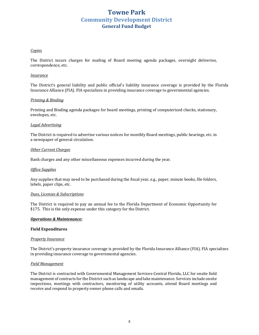#### *Copies*

The District incurs charges for mailing of Board meeting agenda packages, overnight deliveries, correspondence, etc.

#### *Insurance*

The District's general liability and public official's liability insurance coverage is provided by the Florida Insurance Alliance (FIA). FIA specializes in providing insurance coverage to governmental agencies.

#### **Printing & Binding**

Printing and Binding agenda packages for board meetings, printing of computerized checks, stationary, envelopes, etc.

#### *Legal Advertising*

The District is required to advertise various notices for monthly Board meetings, public hearings, etc. in a newspaper of general circulation.

#### *Other Current Charges*

Bank charges and any other miscellaneous expenses incurred during the year.

#### *Office Supplies*

Any supplies that may need to be purchased during the fiscal year, e.g., paper, minute books, file folders, labels, paper clips, etc.

#### *Dues, Licenses & Subscriptions*

The District is required to pay an annual fee to the Florida Department of Economic Opportunity for \$175. This is the only expense under this category for the District.

#### *Operations & Maintenance:*

#### **Field Expenditures**

#### **Property Insurance**

The District's property insurance coverage is provided by the Florida Insurance Alliance (FIA). FIA specializes in providing insurance coverage to governmental agencies.

#### *Field Management*

The District is contracted with Governmental Management Services-Central Florida, LLC for onsite field management of contracts for the District such as landscape and lake maintenance. Services include onsite inspections, meetings with contractors, monitoring of utility accounts, attend Board meetings and receive and respond to property owner phone calls and emails.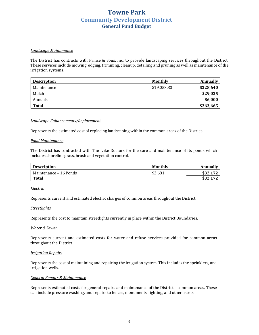#### *Landscape Maintenance*

The District has contracts with Prince & Sons, Inc. to provide landscaping services throughout the District. These services include mowing, edging, trimming, cleanup, detailing and pruning as well as maintenance of the irrigation systems.

| <b>Description</b> | <b>Monthly</b> | Annually  |
|--------------------|----------------|-----------|
| Maintenance        | \$19,053.33    | \$228,640 |
| Mulch              |                | \$29,025  |
| Annuals            |                | \$6,000   |
| Total              |                | \$263,665 |

#### *Landscape Enhancements/Replacement*

Represents the estimated cost of replacing landscaping within the common areas of the District.

#### *Pond Maintenance*

The District has contracted with The Lake Doctors for the care and maintenance of its ponds which includes shoreline grass, brush and vegetation control.

| <b>Description</b>     | Monthly | Annually |
|------------------------|---------|----------|
| Maintenance – 16 Ponds | \$2.681 | \$32.172 |
| <b>Total</b>           |         | \$32.172 |

#### *Electric*

Represents current and estimated electric charges of common areas throughout the District.

#### *Streetlights*

Represents the cost to maintain streetlights currently in place within the District Boundaries.

#### *Water & Sewer*

Represents current and estimated costs for water and refuse services provided for common areas throughout the District.

#### *Irrigation Repairs*

Represents the cost of maintaining and repairing the irrigation system. This includes the sprinklers, and irrigation wells.

#### *General Repairs & Maintenance*

Represents estimated costs for general repairs and maintenance of the District's common areas. These can include pressure washing, and repairs to fences, monuments, lighting, and other assets.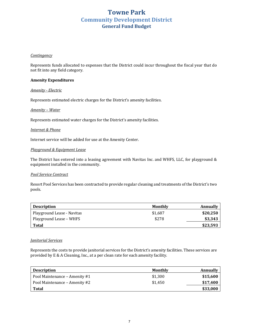#### *Contingency*

Represents funds allocated to expenses that the District could incur throughout the fiscal year that do not fit into any field category.

#### **Amenity Expenditures**

#### *Amenity - Electric*

Represents estimated electric charges for the District's amenity facilities.

#### *Amenity – Water*

Represents estimated water charges for the District's amenity facilities.

#### **Internet** & Phone

Internet service will be added for use at the Amenity Center.

#### **Playground & Equipment Lease**

The District has entered into a leasing agreement with Navitas Inc. and WHFS, LLC, for playground  $&$ equipment installed in the community.

#### *Pool Service Contract*

Resort Pool Services has been contracted to provide regular cleaning and treatments of the District's two pools.

| <b>Description</b>         | Monthly | Annually |
|----------------------------|---------|----------|
| Playground Lease - Navitas | \$1.687 | \$20.250 |
| Playground Lease – WHFS    | \$278   | \$3,343  |
| Total                      |         | \$23,593 |

#### *Janitorial Services*

Represents the costs to provide janitorial services for the District's amenity facilities. These services are provided by E & A Cleaning, Inc., at a per clean rate for each amenity facility.

| <b>Description</b>            | Monthly | Annually |
|-------------------------------|---------|----------|
| Pool Maintenance – Amenity #1 | \$1.300 | \$15,600 |
| Pool Maintenance – Amenity #2 | \$1.450 | \$17,400 |
| Total                         |         | \$33,000 |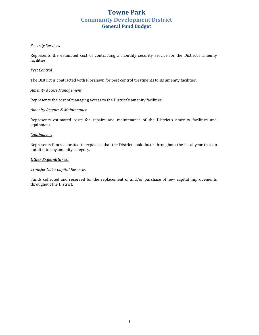#### *Security Services*

Represents the estimated cost of contracting a monthly security service for the District's amenity facilities.

#### *Pest Control*

The District is contracted with Floralawn for pest control treatments to its amenity facilities.

#### *Amenity Access Management*

Represents the cost of managing access to the District's amenity facilities.

#### *Amenity Repairs & Maintenance*

Represents estimated costs for repairs and maintenance of the District's amenity facilities and equipment. 

#### *Contingency*

Represents funds allocated to expenses that the District could incur throughout the fiscal year that do not fit into any amenity category.

#### **Other Expenditures:**

#### *Transfer Out – Capital Reserves*

Funds collected and reserved for the replacement of and/or purchase of new capital improvements throughout the District.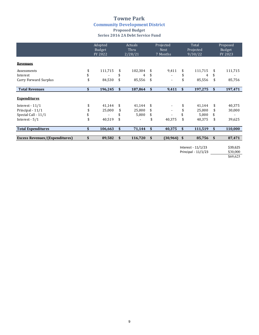### **Towne Park Community Development District Proposed Budget Series 2016 2A Debt Service Fund**

|                                       | Adopted<br>Budget<br>FY 2022 | <b>Actuals</b><br>Thru<br>2/28/21 |     | Projected<br><b>Next</b><br>7 Months | Total<br>Projected<br>9/30/22 |    | Proposed<br>Budget<br>FY 2023 |
|---------------------------------------|------------------------------|-----------------------------------|-----|--------------------------------------|-------------------------------|----|-------------------------------|
| <b>Revenues</b>                       |                              |                                   |     |                                      |                               |    |                               |
| Assessments                           | \$<br>111,715                | \$<br>102,304                     |     | 9,411                                | \$<br>111,715                 | -S | 111,715                       |
| Interest                              |                              | 4                                 | \$  |                                      | 4                             | \$ |                               |
| Carry Forward Surplus                 | \$<br>84,530                 | \$<br>85,556                      | \$  | $\overline{\phantom{a}}$             | 85,556                        | \$ | 85,756                        |
| <b>Total Revenues</b>                 | \$<br>196,245                | \$<br>187,864                     | \$  | 9,411                                | \$<br>197,275                 | \$ | 197,471                       |
| <b>Expenditures</b>                   |                              |                                   |     |                                      |                               |    |                               |
| Interest - $11/1$                     | \$<br>41,144                 | \$<br>41,144                      | \$. |                                      | 41,144                        | \$ | 40,375                        |
| Principal - 11/1                      | 25,000                       | \$<br>25,000                      | \$  |                                      | 25,000                        | \$ | 30,000                        |
| Special Call - 11/1                   |                              | 5,000                             | \$  |                                      | 5,000                         | \$ | ۰                             |
| Interest $-5/1$                       | \$<br>40,519                 | \$                                | \$  | 40,375                               | \$<br>40,375                  | \$ | 39,625                        |
| <b>Total Expenditures</b>             | \$<br>106,663                | \$<br>71,144                      | \$  | 40,375                               | \$<br>111,519                 | \$ | 110,000                       |
| <b>Excess Revenues/(Expenditures)</b> | \$<br>89,582                 | \$<br>116,720                     | \$  | (30, 964)                            | \$<br>85,756                  | \$ | 87,471                        |

Interest - 11/1/23 \$39,625 Principal - 11/1/23 \$30,000

\$69,625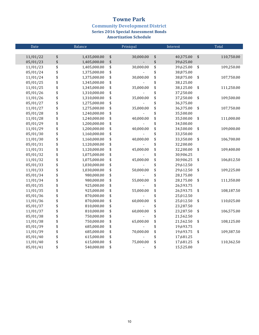**Community Development District<br>Series 2016 Special Assessment Bonds** 

| Date     | Balance            | Prinicpal       | Interest        |                   | Total      |
|----------|--------------------|-----------------|-----------------|-------------------|------------|
|          |                    |                 |                 |                   |            |
| 11/01/22 | \$<br>1,435,000.00 | \$<br>30,000.00 | \$<br>40,375.00 | $\boldsymbol{\$}$ | 110,750.00 |
| 05/01/23 | \$<br>1,405,000.00 | \$              | \$<br>39,625.00 |                   |            |
| 11/01/23 | \$<br>1,405,000.00 | \$<br>30,000.00 | \$<br>39,625.00 | \$                | 109,250.00 |
| 05/01/24 | \$<br>1,375,000.00 | \$              | \$<br>38,875.00 |                   |            |
| 11/01/24 | \$<br>1,375,000.00 | \$<br>30,000.00 | \$<br>38,875.00 | \$                | 107,750.00 |
| 05/01/25 | \$<br>1,345,000.00 | \$              | \$<br>38,125.00 |                   |            |
| 11/01/25 | \$<br>1,345,000.00 | \$<br>35,000.00 | \$<br>38,125.00 | \$                | 111,250.00 |
| 05/01/26 | \$<br>1,310,000.00 | \$              | \$<br>37,250.00 |                   |            |
| 11/01/26 | \$<br>1,310,000.00 | \$<br>35,000.00 | \$<br>37,250.00 | \$                | 109,500.00 |
| 05/01/27 | \$<br>1,275,000.00 | \$              | \$<br>36,375.00 |                   |            |
| 11/01/27 | \$<br>1,275,000.00 | \$<br>35,000.00 | \$<br>36,375.00 | \$                | 107,750.00 |
| 05/01/28 | \$<br>1,240,000.00 | \$              | \$<br>35,500.00 |                   |            |
| 11/01/28 | \$<br>1,240,000.00 | \$<br>40,000.00 | \$<br>35,500.00 | \$                | 111,000.00 |
| 05/01/29 | \$<br>1,200,000.00 | \$              | \$<br>34,500.00 |                   |            |
| 11/01/29 | \$<br>1,200,000.00 | \$<br>40,000.00 | \$<br>34,500.00 | \$                | 109,000.00 |
| 05/01/30 | \$<br>1,160,000.00 | \$              | \$<br>33,350.00 |                   |            |
| 11/01/30 | \$<br>1,160,000.00 | \$<br>40,000.00 | \$<br>33,350.00 | \$                | 106,700.00 |
| 05/01/31 | \$<br>1,120,000.00 | \$              | \$<br>32,200.00 |                   |            |
| 11/01/31 | \$<br>1,120,000.00 | \$<br>45,000.00 | \$<br>32,200.00 | \$                | 109,400.00 |
| 05/01/32 | \$<br>1,075,000.00 | \$              | \$<br>30,906.25 |                   |            |
| 11/01/32 | \$<br>1,075,000.00 | \$<br>45,000.00 | \$<br>30,906.25 | \$                | 106,812.50 |
| 05/01/33 | \$<br>1,030,000.00 | \$              | \$<br>29,612.50 |                   |            |
| 11/01/33 | \$<br>1,030,000.00 | \$<br>50,000.00 | \$<br>29,612.50 | \$                | 109,225.00 |
| 05/01/34 | \$<br>980,000.00   | \$              | \$<br>28,175.00 |                   |            |
| 11/01/34 | \$<br>980,000.00   | \$<br>55,000.00 | \$<br>28,175.00 | \$                | 111,350.00 |
| 05/01/35 | \$<br>925,000.00   | \$              | \$<br>26,593.75 |                   |            |
| 11/01/35 | \$<br>925,000.00   | \$<br>55,000.00 | \$<br>26,593.75 | \$                | 108,187.50 |
| 05/01/36 | \$<br>870,000.00   | \$              | \$<br>25,012.50 |                   |            |
| 11/01/36 | \$<br>870,000.00   | \$<br>60,000.00 | \$<br>25,012.50 | \$                | 110,025.00 |
| 05/01/37 | \$<br>810,000.00   | \$              | \$<br>23,287.50 |                   |            |
| 11/01/37 | \$<br>810,000.00   | \$<br>60,000.00 | \$<br>23,287.50 | \$                | 106,575.00 |
| 05/01/38 | \$<br>750,000.00   | \$              | \$<br>21,562.50 |                   |            |
| 11/01/38 | \$<br>750,000.00   | \$<br>65,000.00 | \$<br>21,562.50 | \$                | 108,125.00 |
| 05/01/39 | \$<br>685,000.00   | \$              | \$<br>19,693.75 |                   |            |
| 11/01/39 | \$<br>685,000.00   | \$<br>70,000.00 | \$<br>19,693.75 | \$                | 109,387.50 |
| 05/01/40 | \$<br>615,000.00   | \$              | \$<br>17,681.25 |                   |            |
| 11/01/40 | \$<br>615,000.00   | \$<br>75,000.00 | \$<br>17,681.25 | \$                | 110,362.50 |
| 05/01/41 | \$<br>540,000.00   | \$              | \$<br>15,525.00 |                   |            |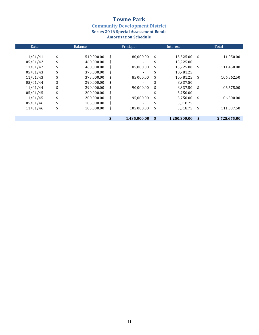**Community Development District<br>Series 2016 Special Assessment Bonds** 

| Date     | <b>Balance</b>   | Prinicpal                      | Interest           |      | Total        |
|----------|------------------|--------------------------------|--------------------|------|--------------|
|          |                  | \$<br>80.000.00                |                    | \$   |              |
| 11/01/41 | \$<br>540,000.00 |                                | \$<br>15,525.00    |      | 111,050.00   |
| 05/01/42 | \$<br>460,000.00 | \$<br>$\overline{\phantom{a}}$ | \$<br>13,225.00    |      |              |
| 11/01/42 | \$<br>460.000.00 | \$<br>85.000.00                | \$<br>13,225.00    | \$   | 111,450.00   |
| 05/01/43 | \$<br>375,000.00 | \$                             | \$<br>10,781.25    |      |              |
| 11/01/43 | 375,000.00       | \$<br>85.000.00                | \$<br>10.781.25    | - \$ | 106.562.50   |
| 05/01/44 | \$<br>290.000.00 | \$                             | \$<br>8.337.50     |      |              |
| 11/01/44 | \$<br>290,000.00 | \$<br>90,000.00                | \$<br>8,337.50     | -\$  | 106,675.00   |
| 05/01/45 | \$<br>200.000.00 | \$                             | 5.750.00           |      |              |
| 11/01/45 | \$<br>200.000.00 | \$<br>95.000.00                | \$<br>5.750.00     | \$   | 106.500.00   |
| 05/01/46 | \$<br>105,000.00 | \$                             | \$<br>3,018.75     |      |              |
| 11/01/46 | \$<br>105.000.00 | \$<br>105,000.00               | \$<br>3,018.75     | - \$ | 111,037.50   |
|          |                  | 1,435,000.00                   | \$<br>1,250,300.00 | \$   | 2,725,675.00 |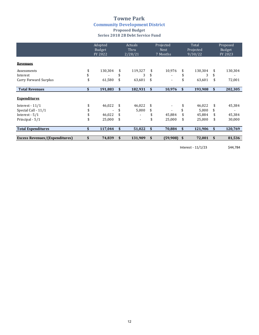### **Towne Park Community Development District Proposed Budget Series 2018 2B Debt Service Fund**

|                                       | Adopted<br>Budget<br>FY 2022 | Actuals<br>Thru<br>2/28/21     |    | Projected<br><b>Next</b><br>7 Months | Total<br>Projected<br>9/30/22 |    | Proposed<br>Budget<br>FY 2023 |
|---------------------------------------|------------------------------|--------------------------------|----|--------------------------------------|-------------------------------|----|-------------------------------|
| <b>Revenues</b>                       |                              |                                |    |                                      |                               |    |                               |
| Assessments                           | \$<br>130,304                | \$<br>119,327                  | S  | 10,976                               | \$<br>130,304                 | \$ | 130,304                       |
| Interest                              |                              | 3                              |    |                                      | 3                             | \$ |                               |
| Carry Forward Surplus                 | \$<br>61,580                 | \$<br>63,601                   | \$ | $\blacksquare$                       | 63,601                        | \$ | 72,001                        |
| <b>Total Revenues</b>                 | \$<br>191,883                | \$<br>182,931                  | \$ | 10,976                               | \$<br>193,908                 | \$ | 202,305                       |
| <b>Expenditures</b>                   |                              |                                |    |                                      |                               |    |                               |
| Interest $-11/1$                      | \$<br>46,022                 | \$<br>46,022                   | \$ |                                      | 46,022                        | \$ | 45,384                        |
| Special Call - 11/1                   |                              | \$<br>5,000                    |    |                                      | 5,000                         | \$ |                               |
| Interest $-5/1$                       | 46,022                       | \$                             |    | 45,884                               | 45,884                        | \$ | 45,384                        |
| Principal - 5/1                       | \$<br>25,000                 | \$<br>$\overline{\phantom{a}}$ | \$ | 25,000                               | \$<br>25,000                  | \$ | 30,000                        |
| <b>Total Expenditures</b>             | \$<br>117,044                | \$<br>51,022                   | \$ | 70,884                               | \$<br>121,906                 | \$ | 120,769                       |
| <b>Excess Revenues/(Expenditures)</b> | \$<br>74,839                 | \$<br>131,909                  | \$ | (59,908)                             | \$<br>72,001                  | \$ | 81,536                        |

Interest - 11/1/23 \$44,784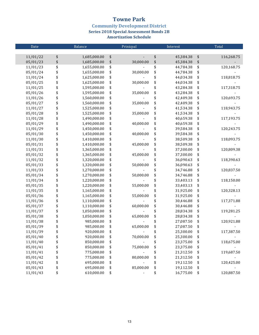**Community Development District** 

**Series 2018 Special Assessment Bonds 2B** 

| Date     |                   | Balance      | Prinicpal       | Interest        |                   | Total      |
|----------|-------------------|--------------|-----------------|-----------------|-------------------|------------|
|          |                   |              |                 |                 |                   |            |
| 11/01/22 | \$                | 1,685,000.00 | \$              | \$<br>45,384.38 | \$                | 116,268.75 |
| 05/01/23 | $\boldsymbol{\$}$ | 1,685,000.00 | \$<br>30,000.00 | \$<br>45,384.38 | $\boldsymbol{\$}$ |            |
| 11/01/23 |                   | 1,655,000.00 | \$              | \$<br>44,784.38 | \$                | 120,168.75 |
| 05/01/24 | \$\$\$\$\$\$      | 1,655,000.00 | \$<br>30,000.00 | \$<br>44,784.38 | \$                |            |
| 11/01/24 |                   | 1,625,000.00 | \$              | \$<br>44,034.38 | \$                | 118,818.75 |
| 05/01/25 |                   | 1,625,000.00 | \$<br>30,000.00 | \$<br>44,034.38 | \$                |            |
| 11/01/25 |                   | 1,595,000.00 | \$              | \$<br>43,284.38 | \$                | 117,318.75 |
| 05/01/26 |                   | 1,595,000.00 | \$<br>35,000.00 | \$<br>43,284.38 | \$                |            |
| 11/01/26 | \$                | 1,560,000.00 | \$              | \$<br>42,409.38 | \$                | 120,693.75 |
| 05/01/27 | \$                | 1,560,000.00 | \$<br>35,000.00 | \$<br>42,409.38 | \$                |            |
| 11/01/27 | \$                | 1,525,000.00 | \$              | \$<br>41,534.38 | \$                | 118,943.75 |
| 05/01/28 | \$                | 1,525,000.00 | \$<br>35,000.00 | \$<br>41,534.38 | \$                |            |
| 11/01/28 | \$                | 1,490,000.00 | \$              | \$<br>40,659.38 | \$                | 117,193.75 |
| 05/01/29 | \$                | 1,490,000.00 | \$<br>40,000.00 | \$<br>40,659.38 | \$                |            |
| 11/01/29 | \$                | 1,450,000.00 | \$              | \$<br>39,584.38 | \$                | 120,243.75 |
| 05/01/30 | \$                | 1,450,000.00 | \$<br>40,000.00 | \$<br>39,584.38 | \$                |            |
| 11/01/30 | \$                | 1,410,000.00 | \$              | \$<br>38,509.38 | \$                | 118,093.75 |
| 05/01/31 | \$                | 1,410,000.00 | \$<br>45,000.00 | \$<br>38,509.38 | \$                |            |
| 11/01/31 | \$                | 1,365,000.00 | \$              | \$<br>37,300.00 | \$                | 120,809.38 |
| 05/01/32 | \$                | 1,365,000.00 | \$<br>45,000.00 | \$<br>37,300.00 | \$                |            |
| 11/01/32 | \$                | 1,320,000.00 | \$              | \$<br>36,090.63 | \$                | 118,390.63 |
| 05/01/33 | \$                | 1,320,000.00 | \$<br>50,000.00 | \$<br>36,090.63 | \$                |            |
| 11/01/33 | \$                | 1,270,000.00 | \$              | \$<br>34,746.88 | \$                | 120,837.50 |
| 05/01/34 | \$                | 1,270,000.00 | \$<br>50,000.00 | \$<br>34,746.88 | \$                |            |
| 11/01/34 | \$                | 1,220,000.00 | \$              | \$<br>33,403.13 | \$                | 118,150.00 |
| 05/01/35 | \$                | 1,220,000.00 | \$<br>55,000.00 | \$<br>33,403.13 | \$                |            |
| 11/01/35 | \$                | 1,165,000.00 | \$              | \$<br>31,925.00 | \$                | 120,328.13 |
| 05/01/36 | \$                | 1,165,000.00 | \$<br>55,000.00 | \$<br>31,925.00 | \$                |            |
| 11/01/36 | \$                | 1,110,000.00 | \$              | \$<br>30,446.88 | \$                | 117,371.88 |
| 05/01/37 | \$                | 1,110,000.00 | \$<br>60,000.00 | \$<br>30,446.88 | \$                |            |
| 11/01/37 | \$                | 1,050,000.00 | \$              | \$<br>28,834.38 | \$                | 119,281.25 |
| 05/01/38 | \$                | 1,050,000.00 | \$<br>65,000.00 | \$<br>28,834.38 | \$                |            |
| 11/01/38 | \$                | 985,000.00   | \$              | \$<br>27,087.50 | \$                | 120,921.88 |
| 05/01/39 | \$                | 985,000.00   | \$<br>65,000.00 | \$<br>27,087.50 | \$                |            |
| 11/01/39 | \$                | 920,000.00   |                 | 25,300.00       | \$                | 117,387.50 |
| 05/01/40 | \$                | 920,000.00   | \$<br>70,000.00 | \$<br>25,300.00 | \$                |            |
| 11/01/40 | \$                | 850,000.00   | \$              | \$<br>23,375.00 | \$                | 118,675.00 |
| 05/01/41 | \$                | 850,000.00   | \$<br>75,000.00 | \$<br>23,375.00 | \$                |            |
| 11/01/41 | \$                | 775,000.00   | \$              | \$<br>21,312.50 | \$                | 119,687.50 |
| 05/01/42 | \$                | 775,000.00   | \$<br>80,000.00 | \$<br>21,312.50 | \$                |            |
| 11/01/42 | \$                | 695,000.00   | \$              | \$<br>19,112.50 | \$                | 120,425.00 |
| 05/01/43 | \$                | 695,000.00   | \$<br>85,000.00 | \$<br>19,112.50 | \$                |            |
| 11/01/43 | \$                | 610,000.00   | \$              | \$<br>16,775.00 | \$                | 120,887.50 |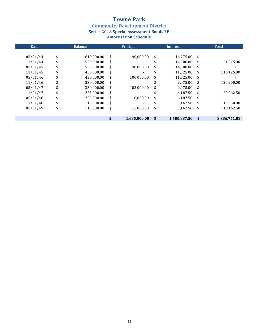**Community Development District<br>Series 2018 Special Assessment Bonds 2B** 

| Date     |    | Balance    | Prinicpal                      |    | Interest     | Total              |
|----------|----|------------|--------------------------------|----|--------------|--------------------|
| 05/01/44 | \$ | 610,000.00 | \$<br>90,000.00                | \$ | 16,775.00    | \$                 |
| 11/01/44 | \$ | 520,000.00 | \$<br>$\overline{\phantom{0}}$ | \$ | 14,300.00    | \$<br>121,075.00   |
| 05/01/45 |    | 520,000.00 | \$<br>90,000.00                | \$ | 14,300.00    | \$                 |
| 11/01/45 | S  | 430,000.00 | \$<br>$\overline{\phantom{a}}$ | S  | 11,825.00    | \$<br>116,125.00   |
| 05/01/46 |    | 430,000.00 | \$<br>100.000.00               | \$ | 11,825.00    | \$                 |
| 11/01/46 | \$ | 330,000.00 | \$                             |    | 9,075.00     | \$<br>120,900.00   |
| 05/01/47 |    | 330,000.00 | \$<br>105,000.00               | \$ | 9,075.00     | \$                 |
| 11/01/47 |    | 225.000.00 | \$                             |    | 6.187.50     | \$<br>120,262.50   |
| 05/01/48 | \$ | 225,000.00 | \$<br>110,000.00               | \$ | 6,187.50     | \$                 |
| 11/01/48 |    | 115,000.00 | \$                             |    | 3,162.50     | \$<br>119,350.00   |
| 05/01/49 | S  | 115,000.00 | \$<br>115,000.00               | \$ | 3,162.50     | \$<br>118,162.50   |
|          |    |            |                                |    |              |                    |
|          |    |            | 1,685,000.00                   | \$ | 1,580,887.50 | \$<br>3,336,771.88 |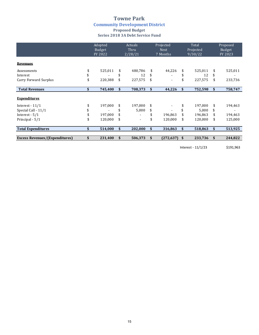### **Towne Park Community Development District Proposed Budget Series 2018 3A Debt Service Fund**

|                                       | Adopted<br>Budget<br>FY 2022 |    | <b>Actuals</b><br>Thru<br>2/28/21 |     | Projected<br><b>Next</b><br>7 Months |    | Total<br>Projected<br>9/30/22 |    | Proposed<br>Budget<br>FY 2023 |  |
|---------------------------------------|------------------------------|----|-----------------------------------|-----|--------------------------------------|----|-------------------------------|----|-------------------------------|--|
| <b>Revenues</b>                       |                              |    |                                   |     |                                      |    |                               |    |                               |  |
| Assessments                           | 525,011                      | \$ | 480,786                           | \$  | 44,226                               | \$ | 525,011                       | \$ | 525,011                       |  |
| Interest                              |                              | \$ | 12                                | \$  |                                      |    | 12                            | \$ |                               |  |
| Carry Forward Surplus                 | 220,388                      | \$ | 227,575                           | \$  |                                      |    | 227,575                       | \$ | 233,736                       |  |
|                                       |                              |    |                                   |     |                                      |    |                               |    |                               |  |
| <b>Total Revenues</b>                 | \$<br>745,400                | \$ | 708,373                           | \$  | 44,226                               | \$ | 752,598                       | \$ | 758,747                       |  |
| <b>Expenditures</b>                   |                              |    |                                   |     |                                      |    |                               |    |                               |  |
| Interest $-11/1$                      | 197,000                      | \$ | 197,000                           | S   |                                      |    | 197,000                       | \$ | 194,463                       |  |
| Special Call - 11/1                   |                              | \$ | 5,000                             | \$  |                                      |    | 5,000                         | \$ |                               |  |
| Interest $-5/1$                       | 197,000                      | \$ |                                   | \$  | 196,863                              |    | 196,863                       | \$ | 194,463                       |  |
| Principal - 5/1                       | \$<br>120,000                | \$ | $\blacksquare$                    | \$  | 120,000                              | \$ | 120,000                       | \$ | 125,000                       |  |
| <b>Total Expenditures</b>             | \$<br>514,000                | \$ | 202,000                           | \$  | 316,863                              | \$ | 518,863                       | \$ | 513,925                       |  |
| <b>Excess Revenues/(Expenditures)</b> | 231,400                      | S  | 506,373                           | \$. | (272, 637)                           | S  | 233,736                       | \$ | 244,822                       |  |

Interest - 11/1/23 \$191,963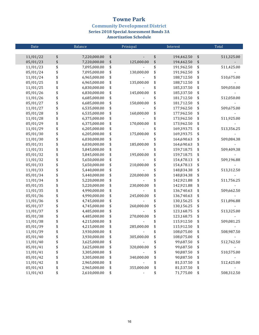**Community Development District** 

**Series 2018 Special Assessment Bonds 3A** 

| Date     |                   | Balance      | Prinicpal        | Interest         |                   | Total      |
|----------|-------------------|--------------|------------------|------------------|-------------------|------------|
|          |                   |              |                  |                  |                   |            |
| 11/01/22 | \$                | 7,220,000.00 | \$               | \$<br>194,462.50 | \$                | 511,325.00 |
| 05/01/23 | $\boldsymbol{\$}$ | 7,220,000.00 | \$<br>125,000.00 | \$<br>194,462.50 | $\boldsymbol{\$}$ |            |
| 11/01/23 | \$                | 7,095,000.00 | \$               | \$<br>191,962.50 | \$                | 511,425.00 |
| 05/01/24 |                   | 7,095,000.00 | \$<br>130,000.00 | \$<br>191,962.50 | \$                |            |
| 11/01/24 |                   | 6,965,000.00 | \$               | \$<br>188,712.50 | \$                | 510,675.00 |
| 05/01/25 | \$\$\$\$          | 6,965,000.00 | \$<br>135,000.00 | \$<br>188,712.50 | \$                |            |
| 11/01/25 |                   | 6,830,000.00 | \$               | \$<br>185,337.50 | \$                | 509,050.00 |
| 05/01/26 | \$                | 6,830,000.00 | \$<br>145,000.00 | \$<br>185,337.50 | \$                |            |
| 11/01/26 | \$                | 6,685,000.00 | \$               | \$<br>181,712.50 | \$                | 512,050.00 |
| 05/01/27 | \$                | 6,685,000.00 | \$<br>150,000.00 | \$<br>181,712.50 | \$                |            |
| 11/01/27 | \$                | 6,535,000.00 | \$               | \$<br>177,962.50 | \$                | 509,675.00 |
| 05/01/28 |                   | 6,535,000.00 | \$<br>160,000.00 | \$<br>177,962.50 | \$                |            |
| 11/01/28 | \$<br>\$          | 6,375,000.00 | \$               | \$<br>173,962.50 | \$                | 511,925.00 |
| 05/01/29 | \$                | 6,375,000.00 | \$<br>170,000.00 | \$<br>173,962.50 | \$                |            |
| 11/01/29 | \$                | 6,205,000.00 | \$               | \$<br>169,393.75 | \$                | 513,356.25 |
| 05/01/30 | \$                | 6,205,000.00 | \$<br>175,000.00 | \$<br>169,393.75 | \$                |            |
| 11/01/30 | \$                | 6,030,000.00 | \$               | \$<br>164,690.63 | \$                | 509,084.38 |
| 05/01/31 | \$                | 6,030,000.00 | \$<br>185,000.00 | \$<br>164,690.63 | \$                |            |
| 11/01/31 | \$                | 5,845,000.00 | \$               | \$<br>159,718.75 | \$                | 509,409.38 |
| 05/01/32 | \$                | 5,845,000.00 | \$<br>195,000.00 | \$<br>159,718.75 | \$                |            |
| 11/01/32 | \$                | 5,650,000.00 | \$               | \$<br>154,478.13 | \$                | 509,196.88 |
| 05/01/33 | \$                | 5,650,000.00 | \$<br>210,000.00 | \$<br>154,478.13 | \$                |            |
| 11/01/33 | \$                | 5,440,000.00 | \$               | \$<br>148,834.38 | \$                | 513,312.50 |
| 05/01/34 | \$                | 5,440,000.00 | \$<br>220,000.00 | \$<br>148,834.38 | \$                |            |
| 11/01/34 | \$                | 5,220,000.00 | \$               | \$<br>142,921.88 | \$                | 511,756.25 |
| 05/01/35 | \$                | 5,220,000.00 | \$<br>230,000.00 | \$<br>142,921.88 | \$                |            |
| 11/01/35 | \$                | 4,990,000.00 | \$               | \$<br>136,740.63 | \$                | 509,662.50 |
| 05/01/36 | \$                | 4,990,000.00 | \$<br>245,000.00 | \$<br>136,740.63 | \$                |            |
| 11/01/36 | \$                | 4,745,000.00 | \$               | \$<br>130,156.25 | \$                | 511,896.88 |
| 05/01/37 | \$                | 4,745,000.00 | \$<br>260,000.00 | \$<br>130,156.25 | \$                |            |
| 11/01/37 | \$                | 4,485,000.00 | \$               | \$<br>123,168.75 | \$                | 513,325.00 |
| 05/01/38 | \$                | 4,485,000.00 | \$<br>270,000.00 | \$<br>123,168.75 | \$                |            |
| 11/01/38 | \$                | 4,215,000.00 | \$               | \$<br>115,912.50 | \$                | 509,081.25 |
| 05/01/39 | \$                | 4,215,000.00 | \$<br>285,000.00 | \$<br>115,912.50 | \$                |            |
| 11/01/39 | \$                | 3,930,000.00 |                  | \$<br>108,075.00 | \$                | 508,987.50 |
| 05/01/40 | \$                | 3,930,000.00 | \$<br>305,000.00 | \$<br>108,075.00 | \$                |            |
| 11/01/40 | \$                | 3,625,000.00 | \$               | \$<br>99,687.50  | \$                | 512,762.50 |
| 05/01/41 | \$                | 3,625,000.00 | \$<br>320,000.00 | \$<br>99,687.50  | \$                |            |
| 11/01/41 | \$                | 3,305,000.00 | \$               | \$<br>90,887.50  | \$                | 510,575.00 |
| 05/01/42 | \$                | 3,305,000.00 | \$<br>340,000.00 | \$<br>90,887.50  | \$                |            |
| 11/01/42 | \$                | 2,965,000.00 | \$               | \$<br>81,537.50  | \$                | 512,425.00 |
| 05/01/43 | \$                | 2,965,000.00 | \$<br>355,000.00 | \$<br>81,537.50  | \$                |            |
| 11/01/43 | \$                | 2,610,000.00 | \$               | \$<br>71,775.00  | \$                | 508,312.50 |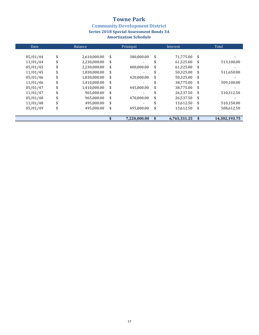**Community Development District<br>Series 2018 Special Assessment Bonds 3A** 

| Date     |    | Balance      | Prinicpal                      |    | Interest     |    | Total         |
|----------|----|--------------|--------------------------------|----|--------------|----|---------------|
|          |    |              |                                |    |              |    |               |
| 05/01/44 | \$ | 2,610,000.00 | \$<br>380,000.00               | \$ | 71,775.00    | \$ |               |
| 11/01/44 | \$ | 2,230,000.00 | \$<br>$\overline{\phantom{a}}$ | S  | 61,325.00    | \$ | 513,100.00    |
| 05/01/45 |    | 2,230,000.00 | \$<br>400,000.00               | \$ | 61.325.00    | \$ |               |
| 11/01/45 | S  | 1,830,000.00 | \$                             | S  | 50,325.00    | \$ | 511,650.00    |
| 05/01/46 |    | 1,830,000.00 | \$<br>420.000.00               | \$ | 50,325.00    | \$ |               |
| 11/01/46 | \$ | 1,410,000.00 | \$                             |    | 38.775.00    | \$ | 509,100.00    |
| 05/01/47 |    | 1,410,000.00 | \$<br>445,000.00               | \$ | 38,775.00    | \$ |               |
| 11/01/47 |    | 965.000.00   | \$                             |    | 26,537.50    | \$ | 510,312.50    |
| 05/01/48 |    | 965,000.00   | \$<br>470.000.00               | \$ | 26,537.50    | \$ |               |
| 11/01/48 |    | 495,000.00   | \$                             |    | 13,612.50    | \$ | 510,150.00    |
| 05/01/49 | S  | 495.000.00   | \$<br>495.000.00               | \$ | 13,612.50    | \$ | 508,612.50    |
|          |    |              |                                |    |              |    |               |
|          |    |              | 7,220,000.00                   | \$ | 6,765,331.25 | S  | 14,302,193.75 |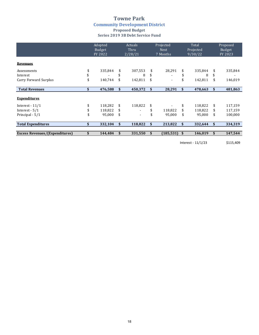### **Towne Park Community Development District Proposed Budget Series 2019 3B Debt Service Fund**

|                                       | Adopted<br><b>Budget</b><br>FY 2022 | Actuals<br>Thru<br>2/28/21 | Projected<br><b>Next</b><br>7 Months | Total<br>Projected<br>9/30/22 |         |    | Proposed<br>Budget<br>FY 2023 |
|---------------------------------------|-------------------------------------|----------------------------|--------------------------------------|-------------------------------|---------|----|-------------------------------|
| <b>Revenues</b>                       |                                     |                            |                                      |                               |         |    |                               |
| Assessments                           | \$<br>335,844                       | \$<br>307,553              | \$<br>28,291                         | \$                            | 335,844 | \$ | 335,844                       |
| Interest                              |                                     | \$<br>8                    | \$                                   |                               | 8       | \$ |                               |
| Carry Forward Surplus                 | \$<br>140,744                       | \$<br>142,811              | \$<br>$\overline{a}$                 | \$                            | 142,811 | \$ | 146,019                       |
| <b>Total Revenues</b>                 | \$<br>476,588                       | \$<br>450,372              | \$<br>28,291                         | \$                            | 478,663 | \$ | 481,863                       |
| <b>Expenditures</b>                   |                                     |                            |                                      |                               |         |    |                               |
| Interest $-11/1$                      | \$<br>118,282                       | \$<br>118,822              | \$                                   | \$                            | 118,822 | \$ | 117,159                       |
| Interest $-5/1$                       | 118,822                             | \$                         | 118,822                              | \$                            | 118,822 | S  | 117,159                       |
| Principal - 5/1                       | \$<br>95,000                        | \$<br>۰                    | 95,000                               | \$                            | 95,000  | \$ | 100,000                       |
| <b>Total Expenditures</b>             | \$<br>332,104                       | \$<br>118,822              | \$<br>213,822                        | \$                            | 332,644 | \$ | 334,319                       |
| <b>Excess Revenues/(Expenditures)</b> | \$<br>144,484                       | \$<br>331,550              | \$<br>(185, 531)                     | \$                            | 146,019 | \$ | 147,544                       |

Interest - 11/1/23 \$115,409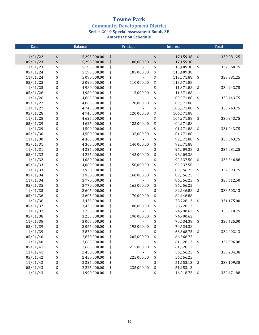**Community Development District** 

**Series 2019 Special Assessment Bonds 3B** 

| Date     | Balance            | Prinicpal        | Interest         |            | Total      |
|----------|--------------------|------------------|------------------|------------|------------|
|          |                    |                  |                  |            |            |
| 11/01/22 | \$<br>5,295,000.00 | \$               | \$<br>117,159.38 | \$         | 330,981.25 |
| 05/01/23 | \$<br>5,295,000.00 | \$<br>100,000.00 | \$<br>117,159.38 |            |            |
| 11/01/23 | \$<br>5,195,000.00 | \$               | \$<br>115,409.38 | \$         | 332,568.75 |
| 05/01/24 | \$<br>5,195,000.00 | \$<br>105,000.00 | \$<br>115,409.38 |            |            |
| 11/01/24 | \$<br>5,090,000.00 | \$               | \$<br>113,571.88 | \$         | 333,981.25 |
| 05/01/25 | \$<br>5,090,000.00 | \$<br>110,000.00 | \$<br>113,571.88 |            |            |
| 11/01/25 | \$<br>4,980,000.00 | \$               | \$<br>111,371.88 | \$         | 334,943.75 |
| 05/01/26 | \$<br>4,980,000.00 | \$<br>115,000.00 | \$<br>111,371.88 |            |            |
| 11/01/26 | \$<br>4,865,000.00 | \$               | \$<br>109,071.88 | \$         | 335,443.75 |
| 05/01/27 | \$<br>4,865,000.00 | \$<br>120,000.00 | \$<br>109,071.88 |            |            |
| 11/01/27 | \$<br>4,745,000.00 | \$               | \$<br>106,671.88 | \$         | 335,743.75 |
| 05/01/28 | \$<br>4,745,000.00 | \$<br>120,000.00 | \$<br>106,671.88 |            |            |
| 11/01/28 | \$<br>4,625,000.00 | \$               | \$<br>104,271.88 | \$         | 330,943.75 |
| 05/01/29 | \$<br>4,625,000.00 | \$<br>125,000.00 | \$<br>104,271.88 |            |            |
| 11/01/29 | \$<br>4,500,000.00 | \$               | \$<br>101,771.88 | \$         | 331,043.75 |
| 05/01/30 | \$<br>4,500,000.00 | \$<br>135,000.00 | \$<br>101,771.88 |            |            |
| 11/01/30 | \$<br>4,365,000.00 | \$               | \$<br>99,071.88  | \$         | 335,843.75 |
| 05/01/31 | \$<br>4,365,000.00 | \$<br>140,000.00 | \$<br>99,071.88  |            |            |
| 11/01/31 | \$<br>4,225,000.00 | \$               | \$<br>96,009.38  | \$         | 335,081.25 |
| 05/01/32 | \$<br>4,225,000.00 | \$<br>145,000.00 | \$<br>96,009.38  |            |            |
| 11/01/32 | \$<br>4,080,000.00 | \$               | \$<br>92,837.50  | \$         | 333,846.88 |
| 05/01/33 | \$<br>4,080,000.00 | \$<br>150,000.00 | \$<br>92,837.50  |            |            |
| 11/01/33 | \$<br>3,930,000.00 | \$               | \$<br>89,556.25  | \$         | 332,393.75 |
| 05/01/34 | \$<br>3,930,000.00 | \$<br>160,000.00 | \$<br>89,556.25  |            |            |
| 11/01/34 | \$<br>3,770,000.00 | \$               | \$<br>86,056.25  | \$         | 335,612.50 |
| 05/01/35 | \$<br>3,770,000.00 | \$<br>165,000.00 | \$<br>86,056.25  |            |            |
| 11/01/35 | \$<br>3,605,000.00 | \$               | \$<br>82,446.88  | \$         | 333,503.13 |
| 05/01/36 | \$<br>3,605,000.00 | \$<br>170,000.00 | \$<br>82,446.88  |            |            |
| 11/01/36 | \$<br>3,435,000.00 | \$               | \$<br>78,728.13  | \$         | 331,175.00 |
| 05/01/37 | \$<br>3,435,000.00 | \$<br>180,000.00 | \$<br>78,728.13  |            |            |
| 11/01/37 | \$<br>3,255,000.00 | \$               | \$<br>74,790.63  | \$         | 333,518.75 |
| 05/01/38 | \$<br>3,255,000.00 | \$<br>190,000.00 | \$<br>74,790.63  |            |            |
| 11/01/38 | \$<br>3,065,000.00 | \$               | \$<br>70,634.38  | \$         | 335,425.00 |
| 05/01/39 | \$<br>3,065,000.00 | \$<br>195,000.00 | \$<br>70,634.38  |            |            |
| 11/01/39 | \$<br>2,870,000.00 |                  | 66,368.75        | \$         | 332,003.13 |
| 05/01/40 | \$<br>2,870,000.00 | \$<br>205,000.00 | \$<br>66,368.75  |            |            |
| 11/01/40 | \$<br>2,665,000.00 | \$               | \$<br>61,628.13  | \$         | 332,996.88 |
| 05/01/41 | \$<br>2,665,000.00 | \$<br>215,000.00 | \$<br>61,628.13  |            |            |
| 11/01/41 | \$<br>2,450,000.00 | \$               | \$<br>56,656.25  | \$         | 333,284.38 |
| 05/01/42 | \$<br>2,450,000.00 | \$<br>225,000.00 | \$<br>56,656.25  |            |            |
| 11/01/42 | \$<br>2,225,000.00 | \$               | \$<br>51,453.13  | \$         | 333,109.38 |
| 05/01/43 | \$<br>2,225,000.00 | \$<br>235,000.00 | \$<br>51,453.13  |            |            |
| 11/01/43 | \$<br>1,990,000.00 | \$               | \$<br>46,018.75  | $\sqrt{3}$ | 332,471.88 |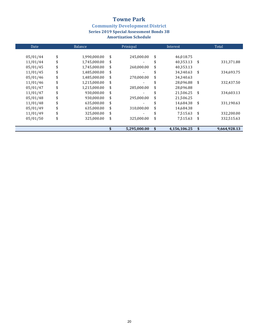**Community Development District<br>Series 2019 Special Assessment Bonds 3B** 

| Date     | Balance            | Prinicpal        | Interest           |      | Total        |
|----------|--------------------|------------------|--------------------|------|--------------|
| 05/01/44 | \$<br>1,990,000.00 | \$<br>245,000.00 | \$<br>46,018.75    |      |              |
| 11/01/44 | \$<br>1,745,000.00 | \$               | \$<br>40,353.13    | - \$ | 331,371.88   |
| 05/01/45 | \$<br>1,745,000.00 | \$<br>260,000.00 | \$<br>40,353.13    |      |              |
| 11/01/45 | \$<br>1,485,000.00 | \$               | \$<br>34,340.63    | \$   | 334,693.75   |
| 05/01/46 | \$<br>1,485,000.00 | \$<br>270,000.00 | \$<br>34,340.63    |      |              |
| 11/01/46 | \$<br>1,215,000.00 | \$               | \$<br>28,096.88    | \$   | 332,437.50   |
| 05/01/47 | \$<br>1,215,000.00 | \$<br>285,000.00 | \$<br>28,096.88    |      |              |
| 11/01/47 | \$<br>930,000.00   | \$               | \$<br>21,506.25    | \$   | 334,603.13   |
| 05/01/48 | \$<br>930,000.00   | \$<br>295,000.00 | \$<br>21,506.25    |      |              |
| 11/01/48 | \$<br>635,000.00   | \$               | \$<br>14,684.38    | \$   | 331,190.63   |
| 05/01/49 | \$<br>635,000.00   | \$<br>310,000.00 | \$<br>14,684.38    |      |              |
| 11/01/49 | \$<br>325,000.00   | \$               | \$<br>7,515.63     | \$   | 332,200.00   |
| 05/01/50 | \$<br>325,000.00   | \$<br>325,000.00 | \$<br>7,515.63     | \$   | 332,515.63   |
|          |                    | 5.295.000.00     | \$<br>4.156.106.25 | \$   | 9.664.928.13 |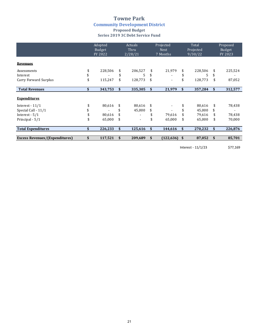### **Towne Park Community Development District Proposed Budget Series 2019 3C Debt Service Fund**

|                                       | Adopted<br>Budget<br>FY 2022 | Actuals<br>Thru<br>2/28/21 | Projected<br><b>Next</b><br>7 Months | Total<br>Projected<br>9/30/22 |    | Proposed<br>Budget<br>FY 2023 |
|---------------------------------------|------------------------------|----------------------------|--------------------------------------|-------------------------------|----|-------------------------------|
| <b>Revenues</b>                       |                              |                            |                                      |                               |    |                               |
| Assessments                           | 228,506                      | \$<br>206,527              | \$<br>21,979                         | \$<br>228,506                 | \$ | 225,524                       |
| Interest                              |                              | \$<br>5                    |                                      | 5                             | \$ |                               |
| Carry Forward Surplus                 | \$<br>115,247                | \$<br>128,773              | \$<br>٠                              | 128,773                       | \$ | 87,052                        |
|                                       |                              |                            |                                      |                               |    |                               |
| <b>Total Revenues</b>                 | \$<br>343,753                | \$<br>335,305              | \$<br>21,979                         | \$<br>357,284                 | \$ | 312,577                       |
| <b>Expenditures</b>                   |                              |                            |                                      |                               |    |                               |
| Interest $-11/1$                      | \$<br>80,616                 | \$<br>80,616               |                                      | 80,616                        | \$ | 78,438                        |
| Special Call - 11/1                   |                              | \$<br>45,000               |                                      | 45,000                        | \$ |                               |
| Interest - 5/1                        | 80,616                       |                            | 79,616                               | 79,616                        | \$ | 78,438                        |
| Principal - 5/1                       | \$<br>65,000                 | \$<br>$\blacksquare$       | \$<br>65,000                         | \$<br>65,000                  | \$ | 70,000                        |
| <b>Total Expenditures</b>             | \$<br>226,233                | \$<br>125,616              | \$<br>144,616                        | \$<br>270,232                 | \$ | 226,876                       |
|                                       |                              |                            |                                      |                               |    |                               |
| <b>Excess Revenues/(Expenditures)</b> | \$<br>117,521                | \$<br>209,689              | \$<br>(122, 636)                     | \$<br>87,052                  | \$ | 85,701                        |

Interest - 11/1/23 \$77,169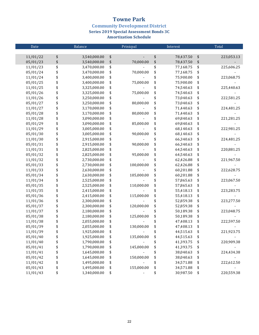**Community Development District** 

**Series 2019 Special Assessment Bonds 3C** 

| Date     |          | Balance      | Prinicpal        | Interest        | Total            |
|----------|----------|--------------|------------------|-----------------|------------------|
|          |          |              |                  |                 |                  |
| 11/01/22 | \$       | 3,540,000.00 | \$               | \$<br>78,437.50 | \$<br>223,053.13 |
| 05/01/23 | \$       | 3,540,000.00 | \$<br>70,000.00  | \$<br>78,437.50 | \$               |
| 11/01/23 | \$       | 3,470,000.00 | \$               | \$<br>77,168.75 | \$<br>225,606.25 |
| 05/01/24 | \$       | 3,470,000.00 | \$<br>70,000.00  | \$<br>77,168.75 | \$               |
| 11/01/24 |          | 3,400,000.00 | \$               | \$<br>75,900.00 | \$<br>223,068.75 |
| 05/01/25 | \$<br>\$ | 3,400,000.00 | \$<br>75,000.00  | \$<br>75,900.00 | \$               |
| 11/01/25 | \$       | 3,325,000.00 | \$               | \$<br>74,540.63 | \$<br>225,440.63 |
| 05/01/26 | \$       | 3,325,000.00 | \$<br>75,000.00  | \$<br>74,540.63 | \$               |
| 11/01/26 | \$       | 3,250,000.00 | \$               | \$<br>73,040.63 | \$<br>222,581.25 |
| 05/01/27 | \$       | 3,250,000.00 | \$<br>80,000.00  | \$<br>73,040.63 | \$               |
| 11/01/27 | \$       | 3,170,000.00 | \$               | \$<br>71,440.63 | \$<br>224,481.25 |
| 05/01/28 | \$       | 3,170,000.00 | \$<br>80,000.00  | \$<br>71,440.63 | \$               |
| 11/01/28 | \$       | 3,090,000.00 | \$               | \$<br>69,840.63 | \$<br>221,281.25 |
| 05/01/29 | \$       | 3,090,000.00 | \$<br>85,000.00  | \$<br>69,840.63 | \$               |
| 11/01/29 | \$       | 3,005,000.00 | \$               | \$<br>68,140.63 | \$<br>222,981.25 |
| 05/01/30 | \$       | 3,005,000.00 | \$<br>90,000.00  | \$<br>68,140.63 | \$               |
| 11/01/30 | \$       | 2,915,000.00 | \$               | \$<br>66,340.63 | \$<br>224,481.25 |
| 05/01/31 | \$       | 2,915,000.00 | \$<br>90,000.00  | \$<br>66,340.63 | \$               |
| 11/01/31 | \$       | 2,825,000.00 | \$               | \$<br>64,540.63 | \$<br>220,881.25 |
| 05/01/32 | \$       | 2,825,000.00 | \$<br>95,000.00  | \$<br>64,540.63 | \$               |
| 11/01/32 | \$       | 2,730,000.00 | \$               | \$<br>62,426.88 | \$<br>221,967.50 |
| 05/01/33 | \$       | 2,730,000.00 | \$<br>100,000.00 | \$<br>62,426.88 | \$               |
| 11/01/33 | \$       | 2,630,000.00 | \$               | \$<br>60,201.88 | \$<br>222,628.75 |
| 05/01/34 | \$       | 2,630,000.00 | \$<br>105,000.00 | \$<br>60,201.88 | \$               |
| 11/01/34 | \$       | 2,525,000.00 | \$               | \$<br>57,865.63 | \$<br>223,067.50 |
| 05/01/35 | \$       | 2,525,000.00 | \$<br>110,000.00 | \$<br>57,865.63 | \$               |
| 11/01/35 | \$       | 2,415,000.00 | \$               | \$<br>55,418.13 | \$<br>223,283.75 |
| 05/01/36 | \$       | 2,415,000.00 | \$<br>115,000.00 | \$<br>55,418.13 | \$               |
| 11/01/36 | \$       | 2,300,000.00 | \$               | \$<br>52,859.38 | \$<br>223,277.50 |
| 05/01/37 | \$       | 2,300,000.00 | \$<br>120,000.00 | \$<br>52,859.38 | \$               |
| 11/01/37 | \$       | 2,180,000.00 | \$               | \$<br>50,189.38 | \$<br>223,048.75 |
| 05/01/38 | \$       | 2,180,000.00 | \$<br>125,000.00 | \$<br>50,189.38 | \$               |
| 11/01/38 | \$       | 2,055,000.00 | \$               | \$<br>47,408.13 | \$<br>222,597.50 |
| 05/01/39 | \$       | 2,055,000.00 | \$<br>130,000.00 | \$<br>47,408.13 | \$               |
| 11/01/39 | \$       | 1,925,000.00 |                  | 44,515.63       | \$<br>221,923.75 |
| 05/01/40 | \$       | 1,925,000.00 | \$<br>135,000.00 | \$<br>44,515.63 | \$               |
| 11/01/40 | \$       | 1,790,000.00 | \$               | \$<br>41,393.75 | \$<br>220,909.38 |
| 05/01/41 | \$       | 1,790,000.00 | \$<br>145,000.00 | \$<br>41,393.75 | \$               |
| 11/01/41 | \$       | 1,645,000.00 | \$               | \$<br>38,040.63 | \$<br>224,434.38 |
| 05/01/42 | \$       | 1,645,000.00 | \$<br>150,000.00 | \$<br>38,040.63 | \$               |
| 11/01/42 | \$       | 1,495,000.00 | \$               | \$<br>34,571.88 | \$<br>222,612.50 |
| 05/01/43 | \$       | 1,495,000.00 | \$<br>155,000.00 | \$<br>34,571.88 | \$               |
| 11/01/43 | \$       | 1,340,000.00 | \$               | \$<br>30,987.50 | \$<br>220,559.38 |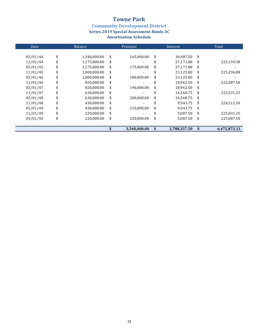**Community Development District<br>Series 2019 Special Assessment Bonds 3C** 

| Date     | Balance            | Prinicpal        | Interest           | Total              |  |  |
|----------|--------------------|------------------|--------------------|--------------------|--|--|
|          |                    |                  |                    |                    |  |  |
| 05/01/44 | \$<br>1,340,000.00 | \$<br>165,000.00 | \$<br>30,987.50    | \$                 |  |  |
| 11/01/44 | \$<br>1,175,000.00 | \$               | \$<br>27,171.88    | \$<br>223,159.38   |  |  |
| 05/01/45 | \$<br>1,175,000.00 | \$<br>175,000.00 | \$<br>27,171.88    | \$                 |  |  |
| 11/01/45 | \$<br>1,000,000.00 | \$               | 23,125.00          | \$<br>225,296.88   |  |  |
| 05/01/46 | \$<br>1,000,000.00 | \$<br>180,000.00 | \$<br>23,125.00    | \$                 |  |  |
| 11/01/46 | \$<br>820,000.00   | \$               | 18,962.50          | \$<br>222,087.50   |  |  |
| 05/01/47 | \$<br>820,000.00   | \$<br>190,000.00 | \$<br>18,962.50    | \$                 |  |  |
| 11/01/47 | \$<br>630,000.00   | \$               | 14,568.75          | \$<br>223,531.25   |  |  |
| 05/01/48 | \$<br>630,000.00   | \$<br>200,000.00 | \$<br>14,568.75    | \$                 |  |  |
| 11/01/48 | \$<br>430,000.00   | \$               | 9,943.75           | \$<br>224,512.50   |  |  |
| 05/01/49 | \$<br>430,000.00   | \$<br>210,000.00 | \$<br>9,943.75     | \$                 |  |  |
| 11/01/49 | \$<br>220,000.00   | \$               | 5,087.50           | \$<br>225,031.25   |  |  |
| 05/01/50 | \$<br>220,000.00   | \$<br>220,000.00 | \$<br>5,087.50     | \$<br>225,087.50   |  |  |
|          |                    | 3.540.000.00     | \$<br>2.788.257.50 | \$<br>6.472.873.13 |  |  |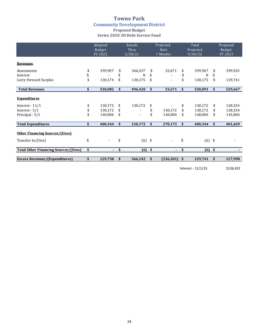### **Towne Park Community Development District Proposed Budget Series 2020 3D Debt Service Fund**

|                                             | Adopted<br>Budget<br>FY 2022 |    | Actuals<br>Thru<br>2/28/21 |     | Projected<br><b>Next</b><br>7 Months | Total<br>Projected<br>9/30/22 |          |            | Proposed<br>Budget<br>FY 2023 |  |
|---------------------------------------------|------------------------------|----|----------------------------|-----|--------------------------------------|-------------------------------|----------|------------|-------------------------------|--|
| <b>Revenues</b>                             |                              |    |                            |     |                                      |                               |          |            |                               |  |
| Assessments                                 | \$<br>399,907                | \$ | 366,237                    | \$  | 33,671                               | \$                            | 399,907  | \$         | 399,925                       |  |
| Interest                                    |                              | \$ | 8                          | \$  |                                      | \$                            | 8        | \$         |                               |  |
| Carry Forward Surplus                       | 130,174                      | \$ | 130,175                    | \$  |                                      |                               | 130,175  | \$         | 129,741                       |  |
| <b>Total Revenues</b>                       | \$<br>530,082                | \$ | 496,420                    | \$  | 33,671                               | \$                            | 530,091  | \$         | 529,667                       |  |
| <b>Expenditures</b>                         |                              |    |                            |     |                                      |                               |          |            |                               |  |
| Interest - $11/1$                           | \$<br>130,172                | \$ | 130,172                    | \$  |                                      | \$                            | 130,172  | \$         | 128,334                       |  |
| Interest - $5/1$                            | \$<br>130,172                | \$ |                            | \$  | 130,172                              | \$                            | 130,172  | \$         | 128,334                       |  |
| Principal - 5/1                             | \$<br>140,000                | \$ |                            | \$  | 140,000                              | \$                            | 140,000  | \$         | 145,000                       |  |
| <b>Total Expenditures</b>                   | \$<br>400,344                | \$ | 130,172                    | \$  | 270,172                              | \$                            | 400,344  | \$         | 401,669                       |  |
| <b>Other Financing Sources/(Uses)</b>       |                              |    |                            |     |                                      |                               |          |            |                               |  |
| Transfer In/(Out)                           | \$<br>$\blacksquare$         | \$ | $(6)$ \$                   |     |                                      | \$                            | $(6)$ \$ |            |                               |  |
| <b>Total Other Financing Sources/(Uses)</b> | \$<br>$\blacksquare$         | \$ | (6)                        | -\$ | $\blacksquare$                       | \$                            | (6)      | $\sqrt{5}$ |                               |  |
| <b>Excess Revenues/(Expenditures)</b>       | \$<br>129,738                | \$ | 366,242                    | \$  | (236, 501)                           | \$                            | 129,741  | \$         | 127,998                       |  |
|                                             |                              |    |                            |     |                                      |                               |          |            |                               |  |

Interest - 11/1/23 \$126,431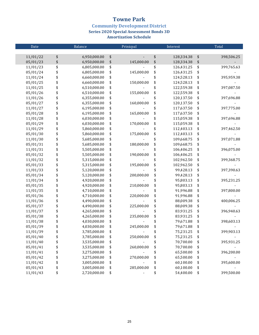**Community Development District** 

**Series 2020 Special Assessment Bonds 3D** 

| Date     |          | Balance      | Prinicpal        | Interest         | Total            |
|----------|----------|--------------|------------------|------------------|------------------|
|          |          |              |                  |                  |                  |
| 11/01/22 | \$       | 6,950,000.00 | \$               | \$<br>128,334.38 | \$<br>398,506.25 |
| 05/01/23 | \$       | 6,950,000.00 | \$<br>145,000.00 | \$<br>128,334.38 | \$               |
| 11/01/23 | \$       | 6,805,000.00 | \$               | \$<br>126,431.25 | \$<br>399,765.63 |
| 05/01/24 | \$       | 6,805,000.00 | \$<br>145,000.00 | \$<br>126,431.25 | \$               |
| 11/01/24 | \$       | 6,660,000.00 | \$               | \$<br>124,528.13 | \$<br>395,959.38 |
| 05/01/25 | \$       | 6,660,000.00 | \$<br>150,000.00 | \$<br>124,528.13 | \$               |
| 11/01/25 | \$       | 6,510,000.00 | \$               | \$<br>122,559.38 | \$<br>397,087.50 |
| 05/01/26 | \$\$\$\$ | 6,510,000.00 | \$<br>155,000.00 | \$<br>122,559.38 | \$               |
| 11/01/26 |          | 6,355,000.00 | \$               | \$<br>120,137.50 | \$<br>397,696.88 |
| 05/01/27 |          | 6,355,000.00 | \$<br>160,000.00 | \$<br>120,137.50 | \$               |
| 11/01/27 |          | 6,195,000.00 | \$               | \$<br>117,637.50 | \$<br>397,775.00 |
| 05/01/28 | \$       | 6,195,000.00 | \$<br>165,000.00 | \$<br>117,637.50 | \$               |
| 11/01/28 | \$       | 6,030,000.00 | \$               | \$<br>115,059.38 | \$<br>397,696.88 |
| 05/01/29 | \$       | 6,030,000.00 | \$<br>170,000.00 | \$<br>115,059.38 | \$               |
| 11/01/29 | \$       | 5,860,000.00 | \$               | \$<br>112,403.13 | \$<br>397,462.50 |
| 05/01/30 | \$       | 5,860,000.00 | \$<br>175,000.00 | \$<br>112,403.13 | \$               |
| 11/01/30 | \$       | 5,685,000.00 | \$               | \$<br>109,668.75 | \$<br>397,071.88 |
| 05/01/31 | \$       | 5,685,000.00 | \$<br>180,000.00 | \$<br>109,668.75 | \$               |
| 11/01/31 | \$       | 5,505,000.00 | \$               | \$<br>106,406.25 | \$<br>396,075.00 |
| 05/01/32 | \$       | 5,505,000.00 | \$<br>190,000.00 | \$<br>106,406.25 | \$               |
| 11/01/32 | \$       | 5,315,000.00 | \$               | \$<br>102,962.50 | \$<br>399,368.75 |
| 05/01/33 | \$       | 5,315,000.00 | \$<br>195,000.00 | \$<br>102,962.50 | \$               |
| 11/01/33 | \$       | 5,120,000.00 | \$               | \$<br>99,428.13  | \$<br>397,390.63 |
| 05/01/34 | \$       | 5,120,000.00 | \$<br>200,000.00 | \$<br>99,428.13  | \$               |
| 11/01/34 | \$       | 4,920,000.00 | \$               | \$<br>95,803.13  | \$<br>395,231.25 |
| 05/01/35 | \$       | 4,920,000.00 | \$<br>210,000.00 | \$<br>95,803.13  | \$               |
| 11/01/35 | \$       | 4,710,000.00 | \$               | \$<br>91,996.88  | \$<br>397,800.00 |
| 05/01/36 | \$       | 4,710,000.00 | \$<br>220,000.00 | \$<br>91,996.88  | \$               |
| 11/01/36 | \$       | 4,490,000.00 | \$               | \$<br>88,009.38  | \$<br>400,006.25 |
| 05/01/37 | \$       | 4,490,000.00 | \$<br>225,000.00 | \$<br>88,009.38  | \$               |
| 11/01/37 | \$       | 4,265,000.00 | \$               | \$<br>83,931.25  | \$<br>396,940.63 |
| 05/01/38 | \$       | 4,265,000.00 | \$<br>235,000.00 | \$<br>83,931.25  | \$               |
| 11/01/38 | \$       | 4,030,000.00 | \$               | \$<br>79,671.88  | \$<br>398,603.13 |
| 05/01/39 | \$       | 4,030,000.00 | \$<br>245,000.00 | \$<br>79,671.88  | \$               |
| 11/01/39 | \$       | 3,785,000.00 | \$               | \$<br>75,231.25  | \$<br>399,903.13 |
| 05/01/40 | \$       | 3,785,000.00 | \$<br>250,000.00 | \$<br>75,231.25  | \$               |
| 11/01/40 | \$       | 3,535,000.00 | \$               | \$<br>70,700.00  | \$<br>395,931.25 |
| 05/01/41 | \$       | 3,535,000.00 | \$<br>260,000.00 | \$<br>70,700.00  | \$               |
| 11/01/41 | \$       | 3,275,000.00 | \$               | \$<br>65,500.00  | \$<br>396,200.00 |
| 05/01/42 | \$       | 3,275,000.00 | \$<br>270,000.00 | \$<br>65,500.00  | \$               |
| 11/01/42 | \$       | 3,005,000.00 | \$               | \$<br>60,100.00  | \$<br>395,600.00 |
| 05/01/43 | \$       | 3,005,000.00 | \$<br>285,000.00 | \$<br>60,100.00  | \$               |
| 11/01/43 | \$       | 2,720,000.00 | \$               | \$<br>54,400.00  | \$<br>399,500.00 |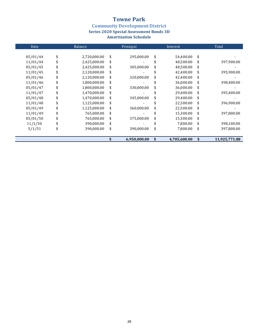**Community Development District<br>Series 2020 Special Assessment Bonds 3D** 

| Date     | Balance |              |    | Prinicpal    | Interest           | Total |               |
|----------|---------|--------------|----|--------------|--------------------|-------|---------------|
|          |         |              |    |              |                    |       |               |
| 05/01/44 | \$      | 2,720,000.00 | \$ | 295,000.00   | \$<br>54,400.00    | \$    |               |
| 11/01/44 | \$      | 2,425,000.00 | \$ |              | 48,500.00          | \$    | 397,900.00    |
| 05/01/45 | \$      | 2,425,000.00 | \$ | 305,000.00   | \$<br>48,500.00    | \$    |               |
| 11/01/45 | \$      | 2,120,000.00 | \$ |              | 42,400.00          | \$    | 395,900.00    |
| 05/01/46 | \$      | 2,120,000.00 | \$ | 320,000.00   | \$<br>42,400.00    | \$    |               |
| 11/01/46 | \$      | 1,800,000.00 | \$ |              | 36,000.00          | \$    | 398,400.00    |
| 05/01/47 | \$      | 1,800,000.00 | \$ | 330,000.00   | \$<br>36,000.00    | \$    |               |
| 11/01/47 | \$      | 1,470,000.00 | \$ |              | 29,400.00          | \$    | 395,400.00    |
| 05/01/48 | \$      | 1,470,000.00 | \$ | 345,000.00   | \$<br>29,400.00    | \$    |               |
| 11/01/48 | \$      | 1,125,000.00 | \$ |              | 22,500.00          | \$    | 396,900.00    |
| 05/01/49 | \$      | 1,125,000.00 | \$ | 360,000.00   | \$<br>22,500.00    | \$    |               |
| 11/01/49 | \$      | 765,000.00   | \$ |              | 15,300.00          | \$    | 397,800.00    |
| 05/01/50 | \$      | 765,000.00   | \$ | 375,000.00   | \$<br>15,300.00    | \$    |               |
| 11/1/50  | \$      | 390,000.00   | \$ |              | 7,800.00           | \$    | 398,100.00    |
| 5/1/51   | \$      | 390,000.00   | \$ | 390,000.00   | \$<br>7,800.00     | \$    | 397,800.00    |
|          |         |              |    | 6,950,000.00 | \$<br>4,705,600.00 | \$    | 11,925,771.88 |